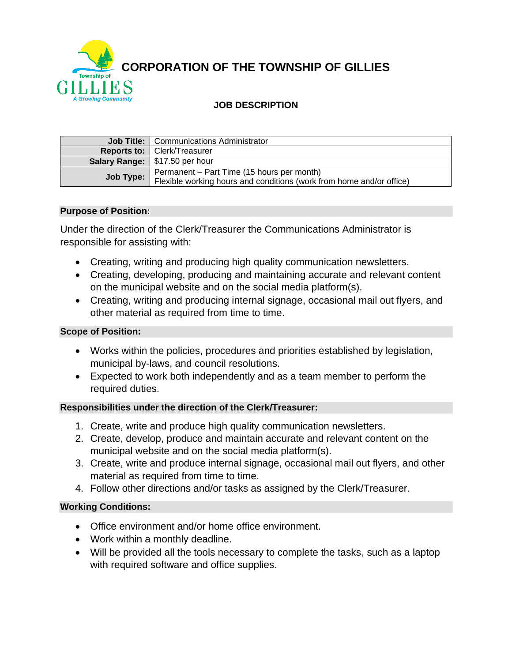**CORPORATION OF THE TOWNSHIP OF GILLIES**

# **JOB DESCRIPTION**

| <b>Job Title:</b>   Communications Administrator                                                                             |
|------------------------------------------------------------------------------------------------------------------------------|
| <b>Reports to:   Clerk/Treasurer</b>                                                                                         |
| Salary Range: \$17.50 per hour                                                                                               |
| Permanent - Part Time (15 hours per month)<br>Job Type: Flexible working hours and conditions (work from home and/or office) |

#### **Purpose of Position:**

Under the direction of the Clerk/Treasurer the Communications Administrator is responsible for assisting with:

- Creating, writing and producing high quality communication newsletters.
- Creating, developing, producing and maintaining accurate and relevant content on the municipal website and on the social media platform(s).
- Creating, writing and producing internal signage, occasional mail out flyers, and other material as required from time to time.

#### **Scope of Position:**

- Works within the policies, procedures and priorities established by legislation, municipal by-laws, and council resolutions.
- Expected to work both independently and as a team member to perform the required duties.

#### **Responsibilities under the direction of the Clerk/Treasurer:**

- 1. Create, write and produce high quality communication newsletters.
- 2. Create, develop, produce and maintain accurate and relevant content on the municipal website and on the social media platform(s).
- 3. Create, write and produce internal signage, occasional mail out flyers, and other material as required from time to time.
- 4. Follow other directions and/or tasks as assigned by the Clerk/Treasurer.

#### **Working Conditions:**

- Office environment and/or home office environment.
- Work within a monthly deadline.
- Will be provided all the tools necessary to complete the tasks, such as a laptop with required software and office supplies.